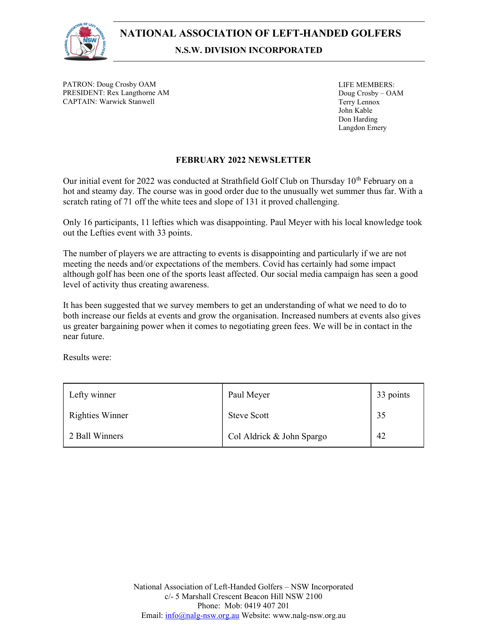

PATRON: Doug Crosby OAM PRESIDENT: Rex Langthorne AM CAPTAIN: Warwick Stanwell

LIFE MEMBERS: Doug Crosby – OAM Terry Lennox John Kable Don Harding Langdon Emery

## FEBRUARY 2022 NEWSLETTER

Our initial event for 2022 was conducted at Strathfield Golf Club on Thursday 10<sup>th</sup> February on a hot and steamy day. The course was in good order due to the unusually wet summer thus far. With a scratch rating of 71 off the white tees and slope of 131 it proved challenging.

Only 16 participants, 11 lefties which was disappointing. Paul Meyer with his local knowledge took out the Lefties event with 33 points.

The number of players we are attracting to events is disappointing and particularly if we are not meeting the needs and/or expectations of the members. Covid has certainly had some impact although golf has been one of the sports least affected. Our social media campaign has seen a good level of activity thus creating awareness.

It has been suggested that we survey members to get an understanding of what we need to do to both increase our fields at events and grow the organisation. Increased numbers at events also gives us greater bargaining power when it comes to negotiating green fees. We will be in contact in the near future.

Results were:

| Lefty winner           | Paul Meyer                | 33 points |
|------------------------|---------------------------|-----------|
| <b>Righties Winner</b> | <b>Steve Scott</b>        | 35        |
| 2 Ball Winners         | Col Aldrick & John Spargo | 42        |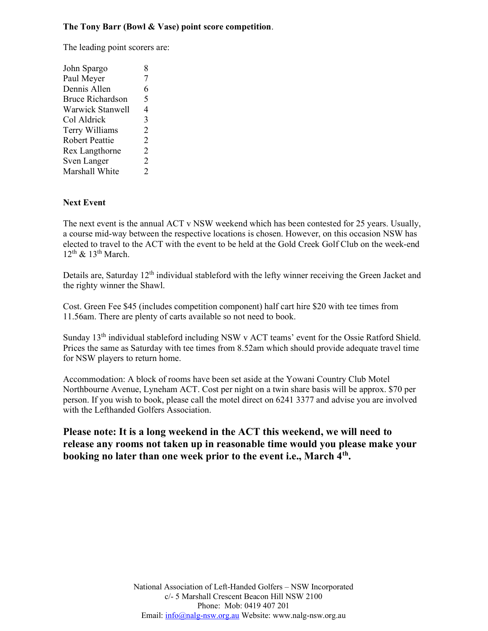## The Tony Barr (Bowl & Vase) point score competition.

The leading point scorers are:

| John Spargo             | 8              |
|-------------------------|----------------|
| Paul Meyer              | 7              |
| Dennis Allen            | 6              |
| <b>Bruce Richardson</b> | 5              |
| Warwick Stanwell        | 4              |
| Col Aldrick             | 3              |
| Terry Williams          | $\overline{2}$ |
| <b>Robert Peattie</b>   | $\overline{2}$ |
| Rex Langthorne          | 2              |
| Sven Langer             | $\overline{2}$ |
| Marshall White          | 2              |

## Next Event

The next event is the annual ACT v NSW weekend which has been contested for 25 years. Usually, a course mid-way between the respective locations is chosen. However, on this occasion NSW has elected to travel to the ACT with the event to be held at the Gold Creek Golf Club on the week-end  $12^{\text{th}}$  &  $13^{\text{th}}$  March.

Details are, Saturday 12<sup>th</sup> individual stableford with the lefty winner receiving the Green Jacket and the righty winner the Shawl.

Cost. Green Fee \$45 (includes competition component) half cart hire \$20 with tee times from 11.56am. There are plenty of carts available so not need to book.

Sunday 13<sup>th</sup> individual stableford including NSW v ACT teams' event for the Ossie Ratford Shield. Prices the same as Saturday with tee times from 8.52am which should provide adequate travel time for NSW players to return home.

Accommodation: A block of rooms have been set aside at the Yowani Country Club Motel Northbourne Avenue, Lyneham ACT. Cost per night on a twin share basis will be approx. \$70 per person. If you wish to book, please call the motel direct on 6241 3377 and advise you are involved with the Lefthanded Golfers Association.

Please note: It is a long weekend in the ACT this weekend, we will need to release any rooms not taken up in reasonable time would you please make your booking no later than one week prior to the event i.e., March 4<sup>th</sup>.